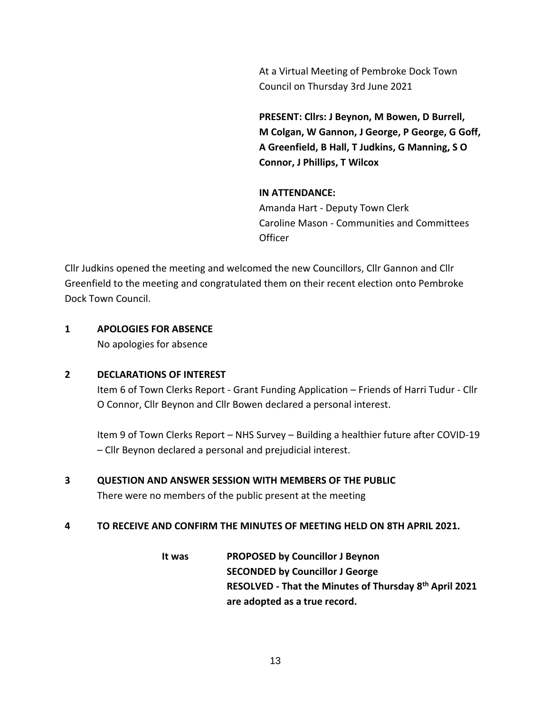At a Virtual Meeting of Pembroke Dock Town Council on Thursday 3rd June 2021

**PRESENT: Cllrs: J Beynon, M Bowen, D Burrell, M Colgan, W Gannon, J George, P George, G Goff, A Greenfield, B Hall, T Judkins, G Manning, S O Connor, J Phillips, T Wilcox**

#### **IN ATTENDANCE:**

Amanda Hart - Deputy Town Clerk Caroline Mason - Communities and Committees **Officer** 

Cllr Judkins opened the meeting and welcomed the new Councillors, Cllr Gannon and Cllr Greenfield to the meeting and congratulated them on their recent election onto Pembroke Dock Town Council.

#### **1 APOLOGIES FOR ABSENCE**

No apologies for absence

#### **2 DECLARATIONS OF INTEREST**

Item 6 of Town Clerks Report - Grant Funding Application – Friends of Harri Tudur - Cllr O Connor, Cllr Beynon and Cllr Bowen declared a personal interest.

Item 9 of Town Clerks Report – NHS Survey – Building a healthier future after COVID-19 – Cllr Beynon declared a personal and prejudicial interest.

# **3 QUESTION AND ANSWER SESSION WITH MEMBERS OF THE PUBLIC**

There were no members of the public present at the meeting

#### **4 TO RECEIVE AND CONFIRM THE MINUTES OF MEETING HELD ON 8TH APRIL 2021.**

**It was PROPOSED by Councillor J Beynon SECONDED by Councillor J George RESOLVED - That the Minutes of Thursday 8 th April 2021 are adopted as a true record.**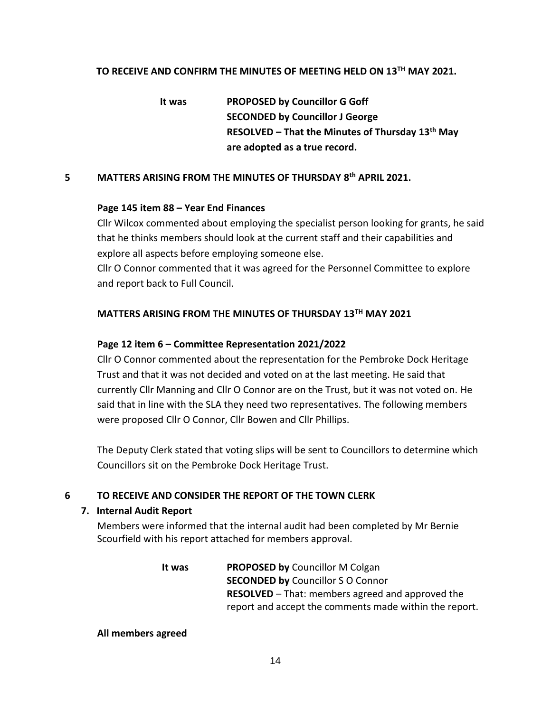# TO RECEIVE AND CONFIRM THE MINUTES OF MEETING HELD ON 13<sup>TH</sup> MAY 2021.

 **It was PROPOSED by Councillor G Goff SECONDED by Councillor J George RESOLVED – That the Minutes of Thursday 13th May are adopted as a true record.**

#### **5 MATTERS ARISING FROM THE MINUTES OF THURSDAY 8 th APRIL 2021.**

#### **Page 145 item 88 – Year End Finances**

Cllr Wilcox commented about employing the specialist person looking for grants, he said that he thinks members should look at the current staff and their capabilities and explore all aspects before employing someone else.

Cllr O Connor commented that it was agreed for the Personnel Committee to explore and report back to Full Council.

# **MATTERS ARISING FROM THE MINUTES OF THURSDAY 13TH MAY 2021**

#### **Page 12 item 6 – Committee Representation 2021/2022**

Cllr O Connor commented about the representation for the Pembroke Dock Heritage Trust and that it was not decided and voted on at the last meeting. He said that currently Cllr Manning and Cllr O Connor are on the Trust, but it was not voted on. He said that in line with the SLA they need two representatives. The following members were proposed Cllr O Connor, Cllr Bowen and Cllr Phillips.

The Deputy Clerk stated that voting slips will be sent to Councillors to determine which Councillors sit on the Pembroke Dock Heritage Trust.

# **6 TO RECEIVE AND CONSIDER THE REPORT OF THE TOWN CLERK**

#### **7. Internal Audit Report**

Members were informed that the internal audit had been completed by Mr Bernie Scourfield with his report attached for members approval.

> **It was PROPOSED by** Councillor M Colgan **SECONDED by** Councillor S O Connor **RESOLVED** – That: members agreed and approved the report and accept the comments made within the report.

#### **All members agreed**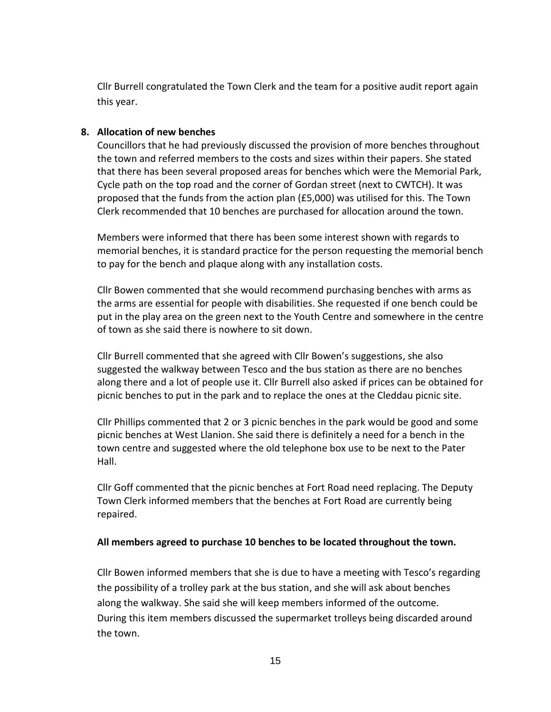Cllr Burrell congratulated the Town Clerk and the team for a positive audit report again this year.

### **8. Allocation of new benches**

Councillors that he had previously discussed the provision of more benches throughout the town and referred members to the costs and sizes within their papers. She stated that there has been several proposed areas for benches which were the Memorial Park, Cycle path on the top road and the corner of Gordan street (next to CWTCH). It was proposed that the funds from the action plan (£5,000) was utilised for this. The Town Clerk recommended that 10 benches are purchased for allocation around the town.

Members were informed that there has been some interest shown with regards to memorial benches, it is standard practice for the person requesting the memorial bench to pay for the bench and plaque along with any installation costs.

Cllr Bowen commented that she would recommend purchasing benches with arms as the arms are essential for people with disabilities. She requested if one bench could be put in the play area on the green next to the Youth Centre and somewhere in the centre of town as she said there is nowhere to sit down.

Cllr Burrell commented that she agreed with Cllr Bowen's suggestions, she also suggested the walkway between Tesco and the bus station as there are no benches along there and a lot of people use it. Cllr Burrell also asked if prices can be obtained for picnic benches to put in the park and to replace the ones at the Cleddau picnic site.

Cllr Phillips commented that 2 or 3 picnic benches in the park would be good and some picnic benches at West Llanion. She said there is definitely a need for a bench in the town centre and suggested where the old telephone box use to be next to the Pater Hall.

Cllr Goff commented that the picnic benches at Fort Road need replacing. The Deputy Town Clerk informed members that the benches at Fort Road are currently being repaired.

#### **All members agreed to purchase 10 benches to be located throughout the town.**

Cllr Bowen informed members that she is due to have a meeting with Tesco's regarding the possibility of a trolley park at the bus station, and she will ask about benches along the walkway. She said she will keep members informed of the outcome. During this item members discussed the supermarket trolleys being discarded around the town.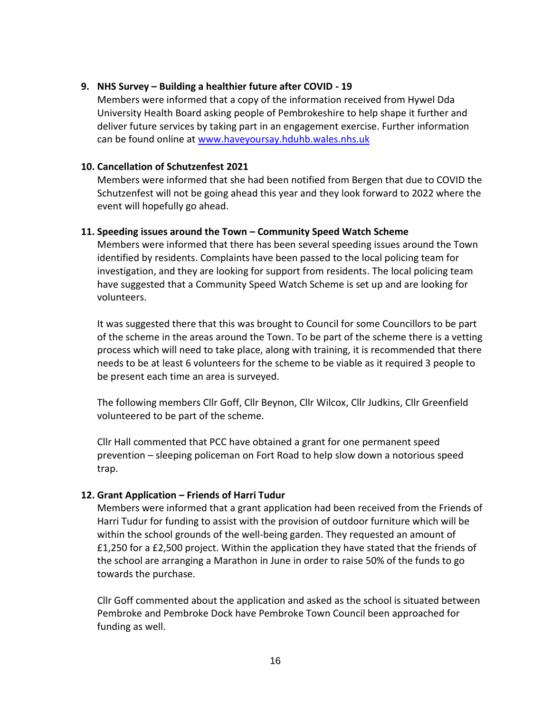### **9. NHS Survey – Building a healthier future after COVID - 19**

Members were informed that a copy of the information received from Hywel Dda University Health Board asking people of Pembrokeshire to help shape it further and deliver future services by taking part in an engagement exercise. Further information can be found online at [www.haveyoursay.hduhb.wales.nhs.uk](http://www.haveyoursay.hduhb.wales.nhs.uk/)

#### **10. Cancellation of Schutzenfest 2021**

Members were informed that she had been notified from Bergen that due to COVID the Schutzenfest will not be going ahead this year and they look forward to 2022 where the event will hopefully go ahead.

#### **11. Speeding issues around the Town – Community Speed Watch Scheme**

Members were informed that there has been several speeding issues around the Town identified by residents. Complaints have been passed to the local policing team for investigation, and they are looking for support from residents. The local policing team have suggested that a Community Speed Watch Scheme is set up and are looking for volunteers.

It was suggested there that this was brought to Council for some Councillors to be part of the scheme in the areas around the Town. To be part of the scheme there is a vetting process which will need to take place, along with training, it is recommended that there needs to be at least 6 volunteers for the scheme to be viable as it required 3 people to be present each time an area is surveyed.

The following members Cllr Goff, Cllr Beynon, Cllr Wilcox, Cllr Judkins, Cllr Greenfield volunteered to be part of the scheme.

Cllr Hall commented that PCC have obtained a grant for one permanent speed prevention – sleeping policeman on Fort Road to help slow down a notorious speed trap.

# **12. Grant Application – Friends of Harri Tudur**

Members were informed that a grant application had been received from the Friends of Harri Tudur for funding to assist with the provision of outdoor furniture which will be within the school grounds of the well-being garden. They requested an amount of £1,250 for a £2,500 project. Within the application they have stated that the friends of the school are arranging a Marathon in June in order to raise 50% of the funds to go towards the purchase.

Cllr Goff commented about the application and asked as the school is situated between Pembroke and Pembroke Dock have Pembroke Town Council been approached for funding as well.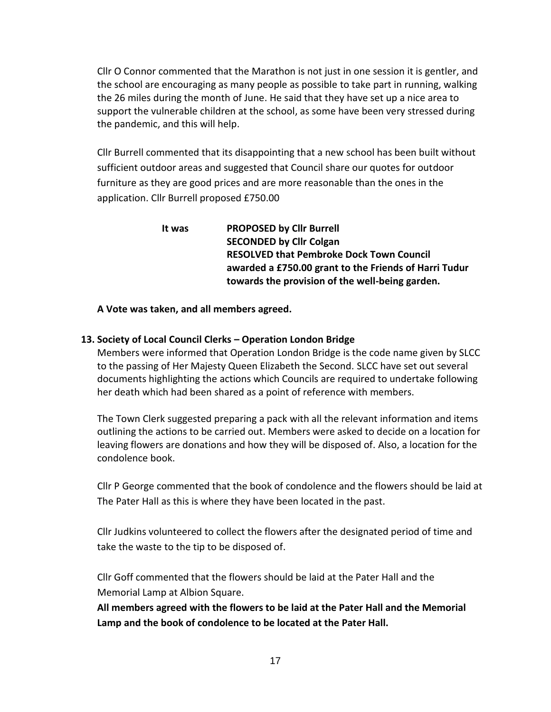Cllr O Connor commented that the Marathon is not just in one session it is gentler, and the school are encouraging as many people as possible to take part in running, walking the 26 miles during the month of June. He said that they have set up a nice area to support the vulnerable children at the school, as some have been very stressed during the pandemic, and this will help.

Cllr Burrell commented that its disappointing that a new school has been built without sufficient outdoor areas and suggested that Council share our quotes for outdoor furniture as they are good prices and are more reasonable than the ones in the application. Cllr Burrell proposed £750.00

> **It was PROPOSED by Cllr Burrell SECONDED by Cllr Colgan RESOLVED that Pembroke Dock Town Council awarded a £750.00 grant to the Friends of Harri Tudur towards the provision of the well-being garden.**

**A Vote was taken, and all members agreed.**

# **13. Society of Local Council Clerks – Operation London Bridge**

Members were informed that Operation London Bridge is the code name given by SLCC to the passing of Her Majesty Queen Elizabeth the Second. SLCC have set out several documents highlighting the actions which Councils are required to undertake following her death which had been shared as a point of reference with members.

The Town Clerk suggested preparing a pack with all the relevant information and items outlining the actions to be carried out. Members were asked to decide on a location for leaving flowers are donations and how they will be disposed of. Also, a location for the condolence book.

Cllr P George commented that the book of condolence and the flowers should be laid at The Pater Hall as this is where they have been located in the past.

Cllr Judkins volunteered to collect the flowers after the designated period of time and take the waste to the tip to be disposed of.

Cllr Goff commented that the flowers should be laid at the Pater Hall and the Memorial Lamp at Albion Square.

**All members agreed with the flowers to be laid at the Pater Hall and the Memorial Lamp and the book of condolence to be located at the Pater Hall.**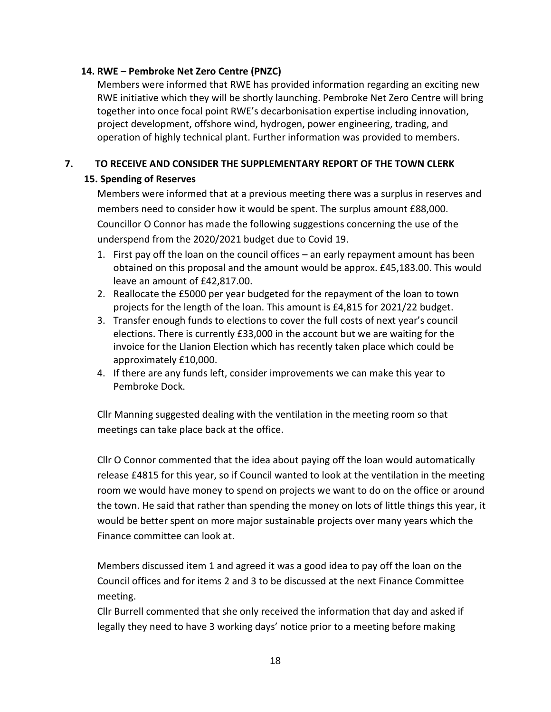# **14. RWE – Pembroke Net Zero Centre (PNZC)**

Members were informed that RWE has provided information regarding an exciting new RWE initiative which they will be shortly launching. Pembroke Net Zero Centre will bring together into once focal point RWE's decarbonisation expertise including innovation, project development, offshore wind, hydrogen, power engineering, trading, and operation of highly technical plant. Further information was provided to members.

# **7. TO RECEIVE AND CONSIDER THE SUPPLEMENTARY REPORT OF THE TOWN CLERK**

# **15. Spending of Reserves**

Members were informed that at a previous meeting there was a surplus in reserves and members need to consider how it would be spent. The surplus amount £88,000. Councillor O Connor has made the following suggestions concerning the use of the underspend from the 2020/2021 budget due to Covid 19.

- 1. First pay off the loan on the council offices an early repayment amount has been obtained on this proposal and the amount would be approx. £45,183.00. This would leave an amount of £42,817.00.
- 2. Reallocate the £5000 per year budgeted for the repayment of the loan to town projects for the length of the loan. This amount is £4,815 for 2021/22 budget.
- 3. Transfer enough funds to elections to cover the full costs of next year's council elections. There is currently £33,000 in the account but we are waiting for the invoice for the Llanion Election which has recently taken place which could be approximately £10,000.
- 4. If there are any funds left, consider improvements we can make this year to Pembroke Dock.

Cllr Manning suggested dealing with the ventilation in the meeting room so that meetings can take place back at the office.

Cllr O Connor commented that the idea about paying off the loan would automatically release £4815 for this year, so if Council wanted to look at the ventilation in the meeting room we would have money to spend on projects we want to do on the office or around the town. He said that rather than spending the money on lots of little things this year, it would be better spent on more major sustainable projects over many years which the Finance committee can look at.

Members discussed item 1 and agreed it was a good idea to pay off the loan on the Council offices and for items 2 and 3 to be discussed at the next Finance Committee meeting.

Cllr Burrell commented that she only received the information that day and asked if legally they need to have 3 working days' notice prior to a meeting before making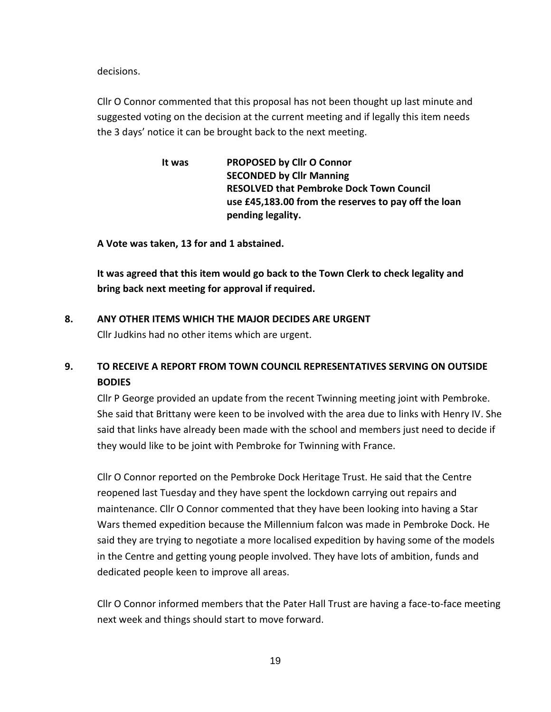decisions.

Cllr O Connor commented that this proposal has not been thought up last minute and suggested voting on the decision at the current meeting and if legally this item needs the 3 days' notice it can be brought back to the next meeting.

> **It was PROPOSED by Cllr O Connor SECONDED by Cllr Manning RESOLVED that Pembroke Dock Town Council use £45,183.00 from the reserves to pay off the loan pending legality.**

**A Vote was taken, 13 for and 1 abstained.**

**It was agreed that this item would go back to the Town Clerk to check legality and bring back next meeting for approval if required.**

#### **8. ANY OTHER ITEMS WHICH THE MAJOR DECIDES ARE URGENT**

Cllr Judkins had no other items which are urgent.

# **9. TO RECEIVE A REPORT FROM TOWN COUNCIL REPRESENTATIVES SERVING ON OUTSIDE BODIES**

Cllr P George provided an update from the recent Twinning meeting joint with Pembroke. She said that Brittany were keen to be involved with the area due to links with Henry IV. She said that links have already been made with the school and members just need to decide if they would like to be joint with Pembroke for Twinning with France.

Cllr O Connor reported on the Pembroke Dock Heritage Trust. He said that the Centre reopened last Tuesday and they have spent the lockdown carrying out repairs and maintenance. Cllr O Connor commented that they have been looking into having a Star Wars themed expedition because the Millennium falcon was made in Pembroke Dock. He said they are trying to negotiate a more localised expedition by having some of the models in the Centre and getting young people involved. They have lots of ambition, funds and dedicated people keen to improve all areas.

Cllr O Connor informed members that the Pater Hall Trust are having a face-to-face meeting next week and things should start to move forward.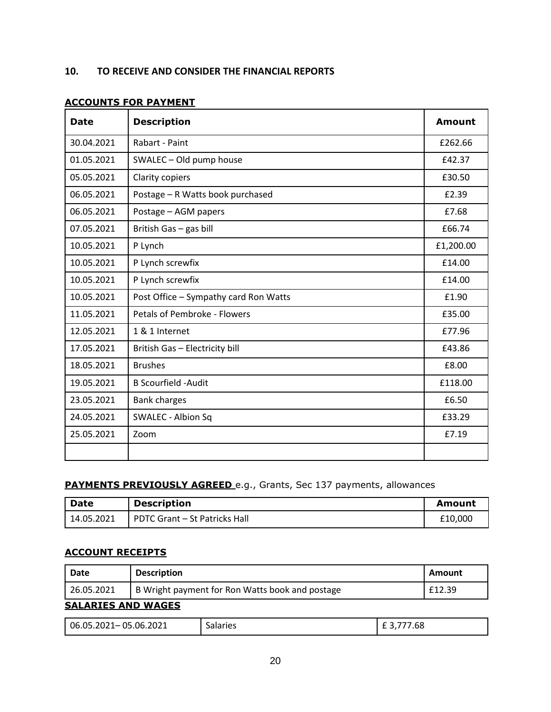| <b>Date</b> | <b>Description</b>                    | <b>Amount</b> |
|-------------|---------------------------------------|---------------|
| 30.04.2021  | Rabart - Paint                        | £262.66       |
| 01.05.2021  | SWALEC - Old pump house               | £42.37        |
| 05.05.2021  | Clarity copiers                       | £30.50        |
| 06.05.2021  | Postage - R Watts book purchased      | £2.39         |
| 06.05.2021  | Postage - AGM papers                  | £7.68         |
| 07.05.2021  | British Gas - gas bill                | £66.74        |
| 10.05.2021  | P Lynch                               | £1,200.00     |
| 10.05.2021  | P Lynch screwfix                      | £14.00        |
| 10.05.2021  | P Lynch screwfix                      | £14.00        |
| 10.05.2021  | Post Office - Sympathy card Ron Watts | £1.90         |
| 11.05.2021  | Petals of Pembroke - Flowers          | £35.00        |
| 12.05.2021  | 1 & 1 Internet                        | £77.96        |
| 17.05.2021  | British Gas - Electricity bill        | £43.86        |
| 18.05.2021  | <b>Brushes</b>                        | £8.00         |
| 19.05.2021  | <b>B Scourfield -Audit</b>            | £118.00       |
| 23.05.2021  | <b>Bank charges</b>                   | £6.50         |
| 24.05.2021  | <b>SWALEC - Albion Sq</b>             | £33.29        |
| 25.05.2021  | Zoom                                  | £7.19         |
|             |                                       |               |

### **ACCOUNTS FOR PAYMENT**

# **PAYMENTS PREVIOUSLY AGREED** e.g., Grants, Sec 137 payments, allowances

| Date       | <b>Description</b>            | Amount  |
|------------|-------------------------------|---------|
| 14.05.2021 | PDTC Grant - St Patricks Hall | £10,000 |

# **ACCOUNT RECEIPTS**

| Date                      | <b>Description</b>                              | <b>Amount</b> |
|---------------------------|-------------------------------------------------|---------------|
| 26.05.2021                | B Wright payment for Ron Watts book and postage | £12.39        |
| <b>SALARIES AND WAGES</b> |                                                 |               |

| $06.05.2021 - 05.06.2021$ | Salaries | 777.68 |
|---------------------------|----------|--------|
|                           |          |        |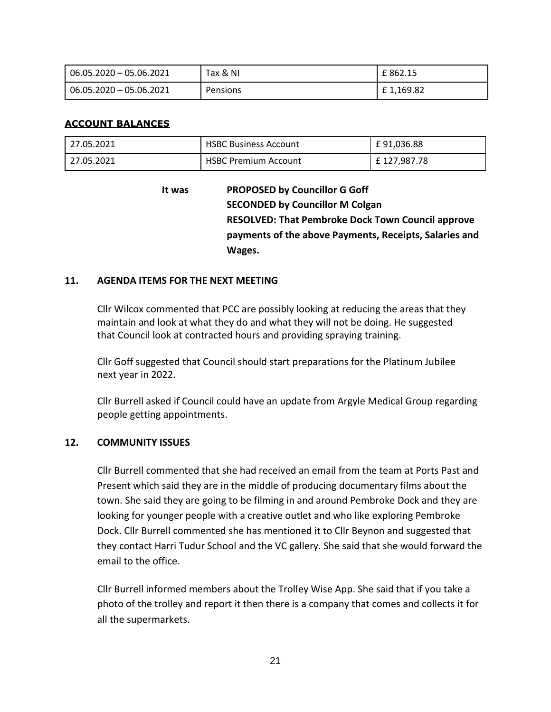| $06.05.2020 - 05.06.2021$ | Tax & NI        | £ 862.15  |
|---------------------------|-----------------|-----------|
| $06.05.2020 - 05.06.2021$ | <b>Pensions</b> | £1,169.82 |

# **ACCOUNT BALANCES**

| 27.05.2021 | <b>HSBC Business Account</b> | £91,036.88   |
|------------|------------------------------|--------------|
| 27.05.2021 | <b>HSBC Premium Account</b>  | £ 127,987.78 |

**It was PROPOSED by Councillor G Goff SECONDED by Councillor M Colgan RESOLVED: That Pembroke Dock Town Council approve payments of the above Payments, Receipts, Salaries and Wages.**

#### **11. AGENDA ITEMS FOR THE NEXT MEETING**

Cllr Wilcox commented that PCC are possibly looking at reducing the areas that they maintain and look at what they do and what they will not be doing. He suggested that Council look at contracted hours and providing spraying training.

 Cllr Goff suggested that Council should start preparations for the Platinum Jubilee next year in 2022.

Cllr Burrell asked if Council could have an update from Argyle Medical Group regarding people getting appointments.

#### **12. COMMUNITY ISSUES**

Cllr Burrell commented that she had received an email from the team at Ports Past and Present which said they are in the middle of producing documentary films about the town. She said they are going to be filming in and around Pembroke Dock and they are looking for younger people with a creative outlet and who like exploring Pembroke Dock. Cllr Burrell commented she has mentioned it to Cllr Beynon and suggested that they contact Harri Tudur School and the VC gallery. She said that she would forward the email to the office.

Cllr Burrell informed members about the Trolley Wise App. She said that if you take a photo of the trolley and report it then there is a company that comes and collects it for all the supermarkets.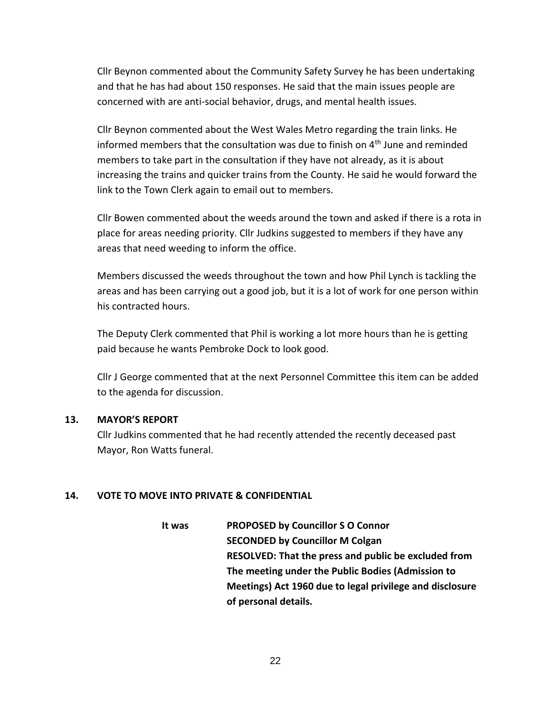Cllr Beynon commented about the Community Safety Survey he has been undertaking and that he has had about 150 responses. He said that the main issues people are concerned with are anti-social behavior, drugs, and mental health issues.

Cllr Beynon commented about the West Wales Metro regarding the train links. He informed members that the consultation was due to finish on  $4<sup>th</sup>$  June and reminded members to take part in the consultation if they have not already, as it is about increasing the trains and quicker trains from the County. He said he would forward the link to the Town Clerk again to email out to members.

Cllr Bowen commented about the weeds around the town and asked if there is a rota in place for areas needing priority. Cllr Judkins suggested to members if they have any areas that need weeding to inform the office.

Members discussed the weeds throughout the town and how Phil Lynch is tackling the areas and has been carrying out a good job, but it is a lot of work for one person within his contracted hours.

The Deputy Clerk commented that Phil is working a lot more hours than he is getting paid because he wants Pembroke Dock to look good.

Cllr J George commented that at the next Personnel Committee this item can be added to the agenda for discussion.

#### **13. MAYOR'S REPORT**

Cllr Judkins commented that he had recently attended the recently deceased past Mayor, Ron Watts funeral.

# **14. VOTE TO MOVE INTO PRIVATE & CONFIDENTIAL**

**It was PROPOSED by Councillor S O Connor SECONDED by Councillor M Colgan RESOLVED: That the press and public be excluded from The meeting under the Public Bodies (Admission to Meetings) Act 1960 due to legal privilege and disclosure of personal details.**